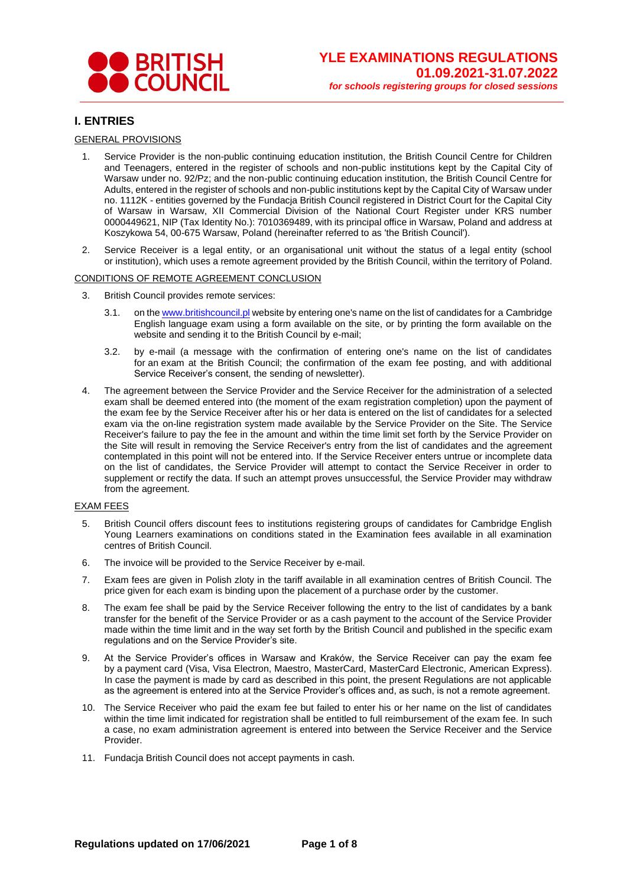

# **I. ENTRIES**

### GENERAL PROVISIONS

- Service Provider is the non-public continuing education institution, the British Council Centre for Children and Teenagers, entered in the register of schools and non-public institutions kept by the Capital City of Warsaw under no. 92/Pz; and the non-public continuing education institution, the British Council Centre for Adults, entered in the register of schools and non-public institutions kept by the Capital City of Warsaw under no. 1112K - entities governed by the Fundacja British Council registered in District Court for the Capital City of Warsaw in Warsaw, XII Commercial Division of the National Court Register under KRS number 0000449621, NIP (Tax Identity No.): 7010369489, with its principal office in Warsaw, Poland and address at Koszykowa 54, 00-675 Warsaw, Poland (hereinafter referred to as 'the British Council').
- 2. Service Receiver is a legal entity, or an organisational unit without the status of a legal entity (school or institution), which uses a remote agreement provided by the British Council, within the territory of Poland.

### CONDITIONS OF REMOTE AGREEMENT CONCLUSION

- British Council provides remote services:
	- 3.1. on the [www.britishcouncil.pl](http://www.britishcouncil.pl/) website by entering one's name on the list of candidates for a Cambridge English language exam using a form available on the site, or by printing the form available on the website and sending it to the British Council by e-mail;
	- 3.2. by e-mail (a message with the confirmation of entering one's name on the list of candidates for an exam at the British Council; the confirmation of the exam fee posting, and with additional Service Receiver's consent, the sending of newsletter).
- 4. The agreement between the Service Provider and the Service Receiver for the administration of a selected exam shall be deemed entered into (the moment of the exam registration completion) upon the payment of the exam fee by the Service Receiver after his or her data is entered on the list of candidates for a selected exam via the on-line registration system made available by the Service Provider on the Site. The Service Receiver's failure to pay the fee in the amount and within the time limit set forth by the Service Provider on the Site will result in removing the Service Receiver's entry from the list of candidates and the agreement contemplated in this point will not be entered into. If the Service Receiver enters untrue or incomplete data on the list of candidates, the Service Provider will attempt to contact the Service Receiver in order to supplement or rectify the data. If such an attempt proves unsuccessful, the Service Provider may withdraw from the agreement.

#### EXAM FEES

- 5. British Council offers discount fees to institutions registering groups of candidates for Cambridge English Young Learners examinations on conditions stated in the Examination fees available in all examination centres of British Council.
- 6. The invoice will be provided to the Service Receiver by e-mail.
- 7. Exam fees are given in Polish zloty in the tariff available in all examination centres of British Council. The price given for each exam is binding upon the placement of a purchase order by the customer.
- 8. The exam fee shall be paid by the Service Receiver following the entry to the list of candidates by a bank transfer for the benefit of the Service Provider or as a cash payment to the account of the Service Provider made within the time limit and in the way set forth by the British Council and published in the specific exam regulations and on the Service Provider's site.
- 9. At the Service Provider's offices in Warsaw and Kraków, the Service Receiver can pay the exam fee by a payment card (Visa, Visa Electron, Maestro, MasterCard, MasterCard Electronic, American Express). In case the payment is made by card as described in this point, the present Regulations are not applicable as the agreement is entered into at the Service Provider's offices and, as such, is not a remote agreement.
- 10. The Service Receiver who paid the exam fee but failed to enter his or her name on the list of candidates within the time limit indicated for registration shall be entitled to full reimbursement of the exam fee. In such a case, no exam administration agreement is entered into between the Service Receiver and the Service Provider.
- 11. Fundacja British Council does not accept payments in cash.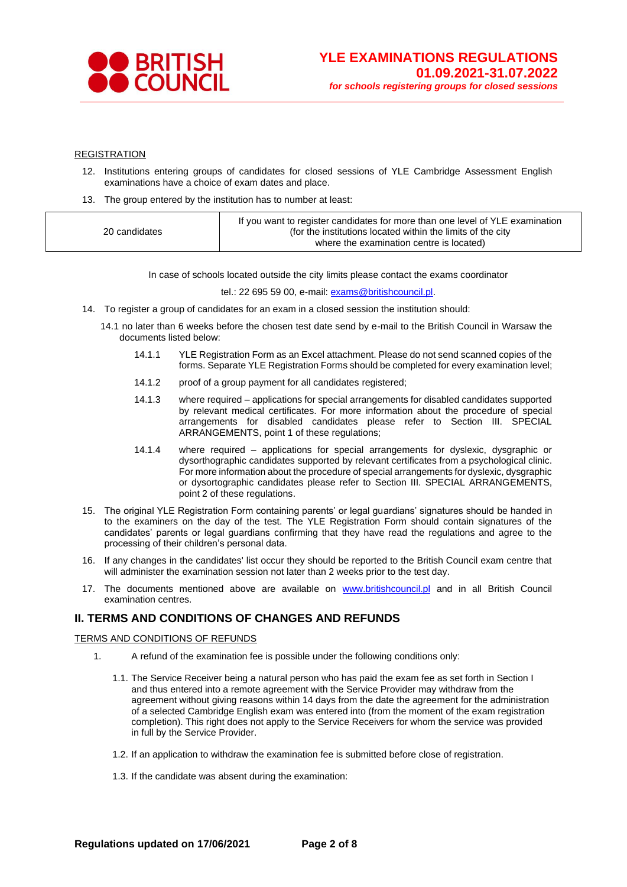

# **REGISTRATION**

- 12. Institutions entering groups of candidates for closed sessions of YLE Cambridge Assessment English examinations have a choice of exam dates and place.
- 13. The group entered by the institution has to number at least:

|               | If you want to register candidates for more than one level of YLE examination |
|---------------|-------------------------------------------------------------------------------|
| 20 candidates | (for the institutions located within the limits of the city                   |
|               | where the examination centre is located)                                      |

In case of schools located outside the city limits please contact the exams coordinator

tel.: 22 695 59 00, e-mail: [exams@britishcouncil.pl.](mailto:exams@britishcouncil.pl)

- 14. To register a group of candidates for an exam in a closed session the institution should:
	- 14.1 no later than 6 weeks before the chosen test date send by e-mail to the British Council in Warsaw the documents listed below:
		- 14.1.1 YLE Registration Form as an Excel attachment. Please do not send scanned copies of the forms. Separate YLE Registration Forms should be completed for every examination level;
		- 14.1.2 proof of a group payment for all candidates registered;
		- 14.1.3 where required applications for special arrangements for disabled candidates supported by relevant medical certificates. For more information about the procedure of special arrangements for disabled candidates please refer to Section III. SPECIAL ARRANGEMENTS, point 1 of these regulations;
		- 14.1.4 where required applications for special arrangements for dyslexic, dysgraphic or dysorthographic candidates supported by relevant certificates from a psychological clinic. For more information about the procedure of special arrangements for dyslexic, dysgraphic or dysortographic candidates please refer to Section III. SPECIAL ARRANGEMENTS, point 2 of these regulations.
- 15. The original YLE Registration Form containing parents' or legal guardians' signatures should be handed in to the examiners on the day of the test. The YLE Registration Form should contain signatures of the candidates' parents or legal guardians confirming that they have read the regulations and agree to the processing of their children's personal data.
- 16. If any changes in the candidates' list occur they should be reported to the British Council exam centre that will administer the examination session not later than 2 weeks prior to the test day.
- 17. The documents mentioned above are available on [www.britishcouncil.pl](http://www.britishcouncil.pl/) and in all British Council examination centres.

## **II. TERMS AND CONDITIONS OF CHANGES AND REFUNDS**

### TERMS AND CONDITIONS OF REFUNDS

- 1. A refund of the examination fee is possible under the following conditions only:
	- 1.1. The Service Receiver being a natural person who has paid the exam fee as set forth in Section I and thus entered into a remote agreement with the Service Provider may withdraw from the agreement without giving reasons within 14 days from the date the agreement for the administration of a selected Cambridge English exam was entered into (from the moment of the exam registration completion). This right does not apply to the Service Receivers for whom the service was provided in full by the Service Provider.
	- 1.2. If an application to withdraw the examination fee is submitted before close of registration.
	- 1.3. If the candidate was absent during the examination: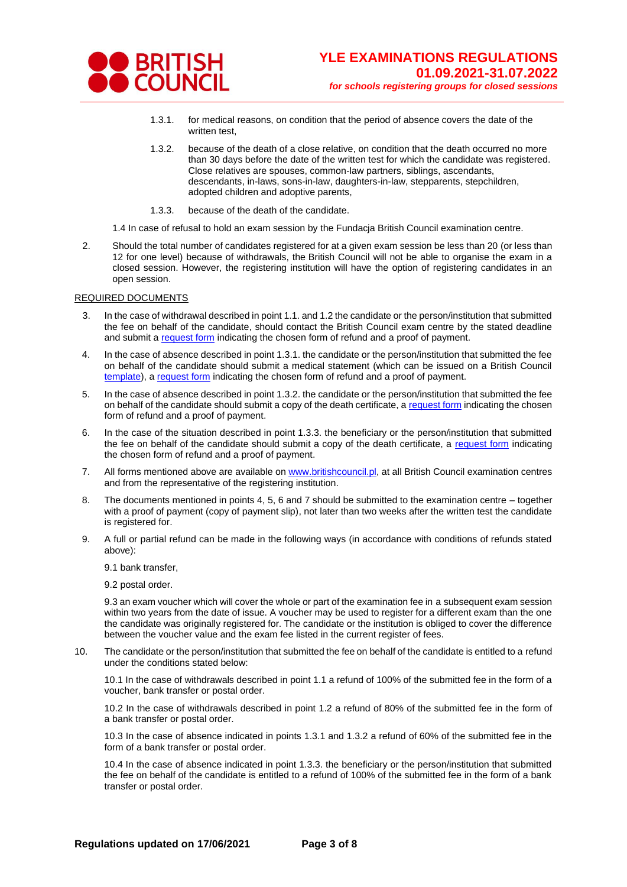

- 1.3.1. for medical reasons, on condition that the period of absence covers the date of the written test,
- 1.3.2. because of the death of a close relative, on condition that the death occurred no more than 30 days before the date of the written test for which the candidate was registered. Close relatives are spouses, common-law partners, siblings, ascendants, descendants, in-laws, sons-in-law, daughters-in-law, stepparents, stepchildren, adopted children and adoptive parents,
- 1.3.3. because of the death of the candidate.

1.4 In case of refusal to hold an exam session by the Fundacja British Council examination centre.

 2. Should the total number of candidates registered for at a given exam session be less than 20 (or less than 12 for one level) because of withdrawals, the British Council will not be able to organise the exam in a closed session. However, the registering institution will have the option of registering candidates in an open session.

#### REQUIRED DOCUMENTS

- 3. In the case of withdrawal described in point 1.1. and 1.2 the candidate or the person/institution that submitted the fee on behalf of the candidate, should contact the British Council exam centre by the stated deadline and submit a [request form](https://www.britishcouncil.pl/sites/default/files/refund_form_yle_uni_prof_school_2021_ep_final.pdf) indicating the chosen form of refund and a proof of payment.
- 4. In the case of absence described in point 1.3.1. the candidate or the person/institution that submitted the fee on behalf of the candidate should submit a medical statement (which can be issued on a British Council [template\)](https://www.britishcouncil.pl/sites/default/files/zwolnienie_lekarskie_medical_certificate_2021_pl_gb_ep_final.pdf), a [request form](https://www.britishcouncil.pl/sites/default/files/refund_form_yle_uni_prof_school_2021_ep_final.pdf) indicating the chosen form of refund and a proof of payment.
- 5. In the case of absence described in point 1.3.2. the candidate or the person/institution that submitted the fee on behalf of the candidate should submit a copy of the death certificate, a [request form](https://www.britishcouncil.pl/sites/default/files/refund_form_yle_uni_prof_school_2021_ep_final.pdf) indicating the chosen form of refund and a proof of payment.
- 6. In the case of the situation described in point 1.3.3. the beneficiary or the person/institution that submitted the fee on behalf of the candidate should submit a copy of the death certificate, a [request form](https://www.britishcouncil.pl/sites/default/files/refund_form_yle_uni_prof_school_2021_ep_final.pdf) indicating the chosen form of refund and a proof of payment.
- 7. All forms mentioned above are available on [www.britishcouncil.pl,](http://www.britishcouncil.pl/) at all British Council examination centres and from the representative of the registering institution.
- 8. The documents mentioned in points 4, 5, 6 and 7 should be submitted to the examination centre together with a proof of payment (copy of payment slip), not later than two weeks after the written test the candidate is registered for.
- 9. A full or partial refund can be made in the following ways (in accordance with conditions of refunds stated above):
	- 9.1 bank transfer,
	- 9.2 postal order.

9.3 an exam voucher which will cover the whole or part of the examination fee in a subsequent exam session within two years from the date of issue. A voucher may be used to register for a different exam than the one the candidate was originally registered for. The candidate or the institution is obliged to cover the difference between the voucher value and the exam fee listed in the current register of fees.

10. The candidate or the person/institution that submitted the fee on behalf of the candidate is entitled to a refund under the conditions stated below:

10.1 In the case of withdrawals described in point 1.1 a refund of 100% of the submitted fee in the form of a voucher, bank transfer or postal order.

10.2 In the case of withdrawals described in point 1.2 a refund of 80% of the submitted fee in the form of a bank transfer or postal order.

10.3 In the case of absence indicated in points 1.3.1 and 1.3.2 a refund of 60% of the submitted fee in the form of a bank transfer or postal order.

10.4 In the case of absence indicated in point 1.3.3. the beneficiary or the person/institution that submitted the fee on behalf of the candidate is entitled to a refund of 100% of the submitted fee in the form of a bank transfer or postal order.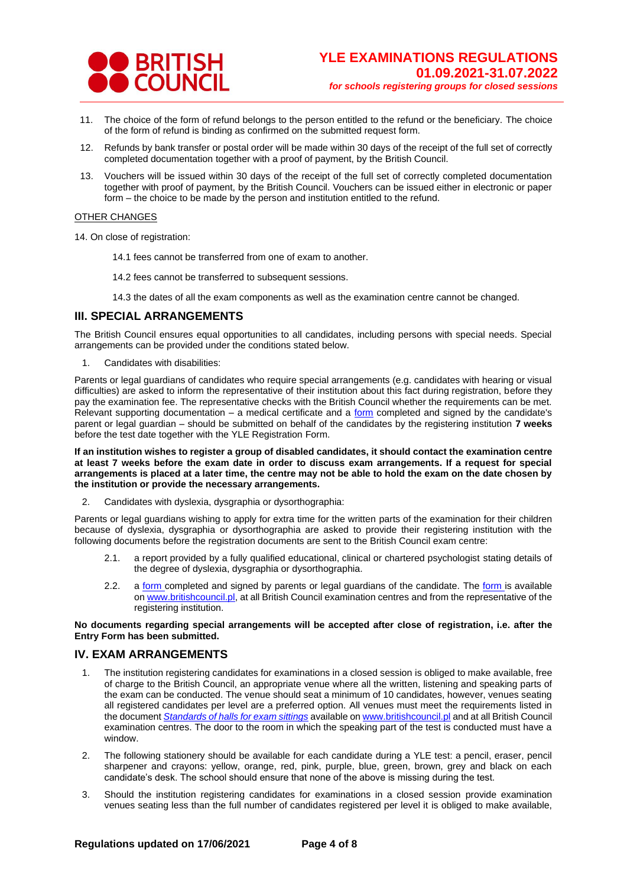

- 11. The choice of the form of refund belongs to the person entitled to the refund or the beneficiary. The choice of the form of refund is binding as confirmed on the submitted request form.
- 12. Refunds by bank transfer or postal order will be made within 30 days of the receipt of the full set of correctly completed documentation together with a proof of payment, by the British Council.
- 13. Vouchers will be issued within 30 days of the receipt of the full set of correctly completed documentation together with proof of payment, by the British Council. Vouchers can be issued either in electronic or paper form – the choice to be made by the person and institution entitled to the refund.

#### OTHER CHANGES

14. On close of registration:

- 14.1 fees cannot be transferred from one of exam to another.
- 14.2 fees cannot be transferred to subsequent sessions.
- 14.3 the dates of all the exam components as well as the examination centre cannot be changed.

## **III. SPECIAL ARRANGEMENTS**

The British Council ensures equal opportunities to all candidates, including persons with special needs. Special arrangements can be provided under the conditions stated below.

1. Candidates with disabilities:

Parents or legal guardians of candidates who require special arrangements (e.g. candidates with hearing or visual difficulties) are asked to inform the representative of their institution about this fact during registration, before they pay the examination fee. The representative checks with the British Council whether the requirements can be met. Relevant supporting documentation – a medical certificate and a [form](https://www.britishcouncil.pl/sites/default/files/internal_sa_form_gb_16_09_2020_ep_final.pdf) completed and signed by the candidate's parent or legal guardian – should be submitted on behalf of the candidates by the registering institution **7 weeks**  before the test date together with the YLE Registration Form.

**If an institution wishes to register a group of disabled candidates, it should contact the examination centre at least 7 weeks before the exam date in order to discuss exam arrangements. If a request for special arrangements is placed at a later time, the centre may not be able to hold the exam on the date chosen by the institution or provide the necessary arrangements.**

2. Candidates with dyslexia, dysgraphia or dysorthographia:

Parents or legal guardians wishing to apply for extra time for the written parts of the examination for their children because of dyslexia, dysgraphia or dysorthographia are asked to provide their registering institution with the following documents before the registration documents are sent to the British Council exam centre:

- 2.1. a report provided by a fully qualified educational, clinical or chartered psychologist stating details of the degree of dyslexia, dysgraphia or dysorthographia.
- 2.2. a [form](https://www.britishcouncil.pl/sites/default/files/internal_sa_form_gb_16_09_2020_ep_final.pdf) completed and signed by parents or legal guardians of the candidate. The form is available on [www.britishcouncil.pl,](http://www.britishcouncil.pl/) at all British Council examination centres and from the representative of the registering institution.

**No documents regarding special arrangements will be accepted after close of registration, i.e. after the Entry Form has been submitted.**

### **IV. EXAM ARRANGEMENTS**

- 1. The institution registering candidates for examinations in a closed session is obliged to make available, free of charge to the British Council, an appropriate venue where all the written, listening and speaking parts of the exam can be conducted. The venue should seat a minimum of 10 candidates, however, venues seating all registered candidates per level are a preferred option. All venues must meet the requirements listed in the document *[Standards of halls for exam sittings](http://www.britishcouncil.pl/sites/default/files/standardy_sal_egzaminacynych_fundacja_2015_09_23_gb_am_final_0.pdf)* available o[n www.britishcouncil.pl](http://www.britishcouncil.pl/) and at all British Council examination centres. The door to the room in which the speaking part of the test is conducted must have a window.
- 2. The following stationery should be available for each candidate during a YLE test: a pencil, eraser, pencil sharpener and crayons: yellow, orange, red, pink, purple, blue, green, brown, grey and black on each candidate's desk. The school should ensure that none of the above is missing during the test.
- 3. Should the institution registering candidates for examinations in a closed session provide examination venues seating less than the full number of candidates registered per level it is obliged to make available,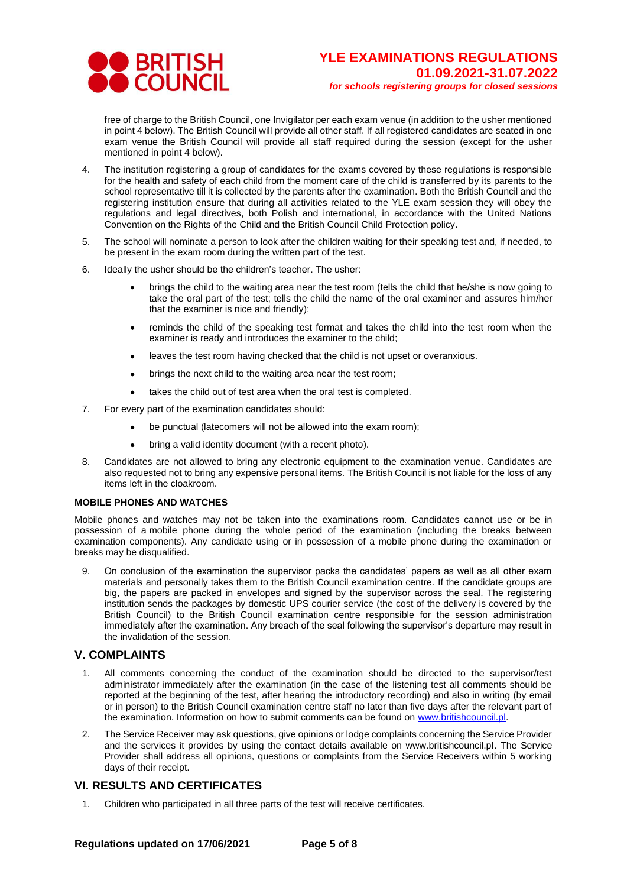

free of charge to the British Council, one Invigilator per each exam venue (in addition to the usher mentioned in point 4 below). The British Council will provide all other staff. If all registered candidates are seated in one exam venue the British Council will provide all staff required during the session (except for the usher mentioned in point 4 below).

- 4. The institution registering a group of candidates for the exams covered by these regulations is responsible for the health and safety of each child from the moment care of the child is transferred by its parents to the school representative till it is collected by the parents after the examination. Both the British Council and the registering institution ensure that during all activities related to the YLE exam session they will obey the regulations and legal directives, both Polish and international, in accordance with the United Nations Convention on the Rights of the Child and the British Council Child Protection policy.
- 5. The school will nominate a person to look after the children waiting for their speaking test and, if needed, to be present in the exam room during the written part of the test.
- 6. Ideally the usher should be the children's teacher. The usher:
	- brings the child to the waiting area near the test room (tells the child that he/she is now going to take the oral part of the test; tells the child the name of the oral examiner and assures him/her that the examiner is nice and friendly);
	- reminds the child of the speaking test format and takes the child into the test room when the examiner is ready and introduces the examiner to the child;
	- leaves the test room having checked that the child is not upset or overanxious.
	- brings the next child to the waiting area near the test room;
	- takes the child out of test area when the oral test is completed.
- 7. For every part of the examination candidates should:
	- be punctual (latecomers will not be allowed into the exam room);
	- bring a valid identity document (with a recent photo).
- 8. Candidates are not allowed to bring any electronic equipment to the examination venue. Candidates are also requested not to bring any expensive personal items. The British Council is not liable for the loss of any items left in the cloakroom.

#### **MOBILE PHONES AND WATCHES**

Mobile phones and watches may not be taken into the examinations room. Candidates cannot use or be in possession of a mobile phone during the whole period of the examination (including the breaks between examination components). Any candidate using or in possession of a mobile phone during the examination or breaks may be disqualified.

9. On conclusion of the examination the supervisor packs the candidates' papers as well as all other exam materials and personally takes them to the British Council examination centre. If the candidate groups are big, the papers are packed in envelopes and signed by the supervisor across the seal. The registering institution sends the packages by domestic UPS courier service (the cost of the delivery is covered by the British Council) to the British Council examination centre responsible for the session administration immediately after the examination. Any breach of the seal following the supervisor's departure may result in the invalidation of the session.

## **V. COMPLAINTS**

- 1. All comments concerning the conduct of the examination should be directed to the supervisor/test administrator immediately after the examination (in the case of the listening test all comments should be reported at the beginning of the test, after hearing the introductory recording) and also in writing (by email or in person) to the British Council examination centre staff no later than five days after the relevant part of the examination. Information on how to submit comments can be found on [www.britishcouncil.pl.](http://www.britishcouncil.pl/)
- 2. The Service Receiver may ask questions, give opinions or lodge complaints concerning the Service Provider and the services it provides by using the contact details available on www.britishcouncil.pl. The Service Provider shall address all opinions, questions or complaints from the Service Receivers within 5 working days of their receipt.

### **VI. RESULTS AND CERTIFICATES**

1. Children who participated in all three parts of the test will receive certificates.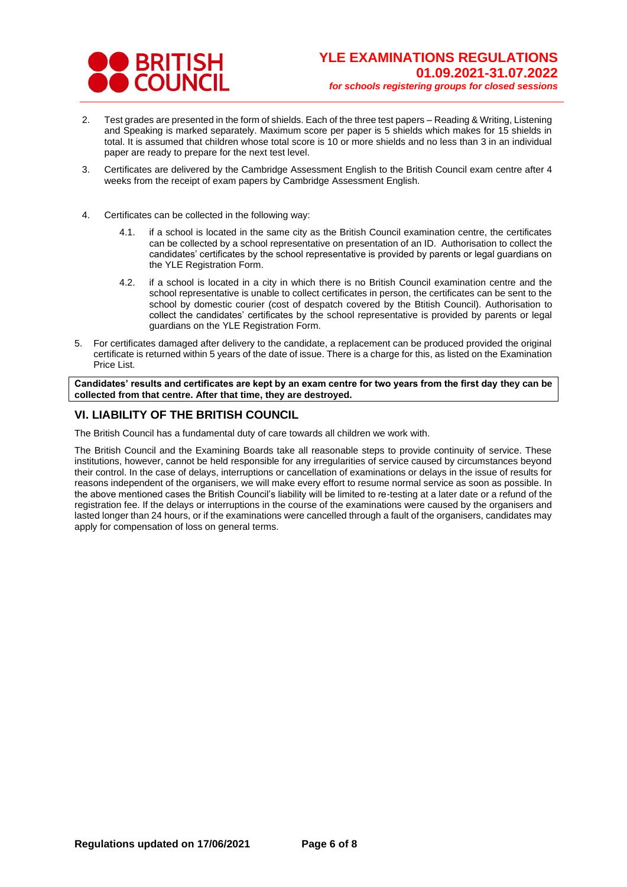

- 2. Test grades are presented in the form of shields. Each of the three test papers Reading & Writing, Listening and Speaking is marked separately. Maximum score per paper is 5 shields which makes for 15 shields in total. It is assumed that children whose total score is 10 or more shields and no less than 3 in an individual paper are ready to prepare for the next test level.
- 3. Certificates are delivered by the Cambridge Assessment English to the British Council exam centre after 4 weeks from the receipt of exam papers by Cambridge Assessment English.
- 4. Certificates can be collected in the following way:
	- 4.1. if a school is located in the same city as the British Council examination centre, the certificates can be collected by a school representative on presentation of an ID. Authorisation to collect the candidates' certificates by the school representative is provided by parents or legal guardians on the YLE Registration Form.
	- 4.2. if a school is located in a city in which there is no British Council examination centre and the school representative is unable to collect certificates in person, the certificates can be sent to the school by domestic courier (cost of despatch covered by the Btitish Council). Authorisation to collect the candidates' certificates by the school representative is provided by parents or legal guardians on the YLE Registration Form.
- 5. For certificates damaged after delivery to the candidate, a replacement can be produced provided the original certificate is returned within 5 years of the date of issue. There is a charge for this, as listed on the Examination Price List.

**Candidates' results and certificates are kept by an exam centre for two years from the first day they can be collected from that centre. After that time, they are destroyed.**

# **VI. LIABILITY OF THE BRITISH COUNCIL**

The British Council has a fundamental duty of care towards all children we work with.

The British Council and the Examining Boards take all reasonable steps to provide continuity of service. These institutions, however, cannot be held responsible for any irregularities of service caused by circumstances beyond their control. In the case of delays, interruptions or cancellation of examinations or delays in the issue of results for reasons independent of the organisers, we will make every effort to resume normal service as soon as possible. In the above mentioned cases the British Council's liability will be limited to re-testing at a later date or a refund of the registration fee. If the delays or interruptions in the course of the examinations were caused by the organisers and lasted longer than 24 hours, or if the examinations were cancelled through a fault of the organisers, candidates may apply for compensation of loss on general terms.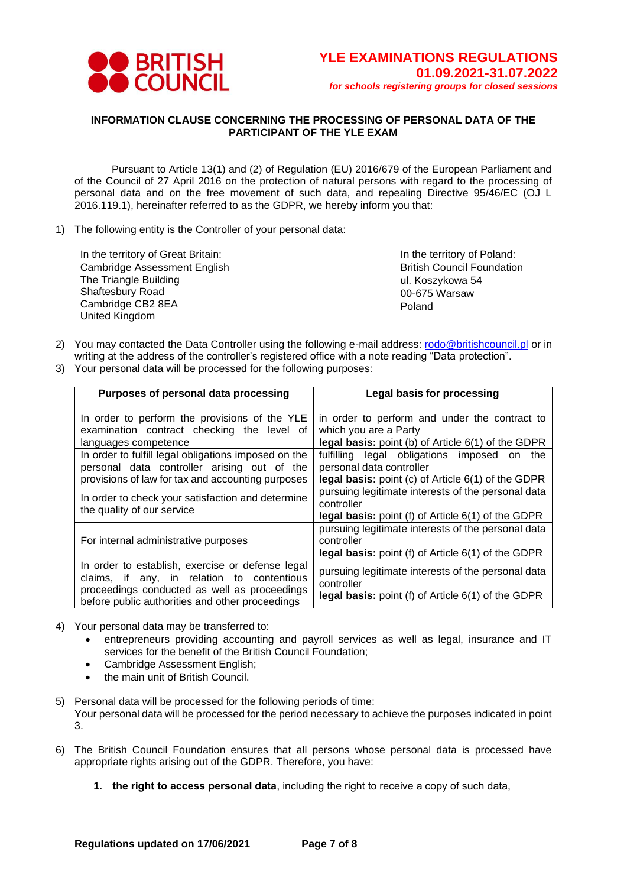

## **INFORMATION CLAUSE CONCERNING THE PROCESSING OF PERSONAL DATA OF THE PARTICIPANT OF THE YLE EXAM**

Pursuant to Article 13(1) and (2) of Regulation (EU) 2016/679 of the European Parliament and of the Council of 27 April 2016 on the protection of natural persons with regard to the processing of personal data and on the free movement of such data, and repealing Directive 95/46/EC (OJ L 2016.119.1), hereinafter referred to as the GDPR, we hereby inform you that:

1) The following entity is the Controller of your personal data:

In the territory of Great Britain: Cambridge Assessment English The Triangle Building Shaftesbury Road Cambridge CB2 8EA United Kingdom

In the territory of Poland: British Council Foundation ul. Koszykowa 54 00-675 Warsaw Poland

- 2) You may contacted the Data Controller using the following e-mail address: [rodo@britishcouncil.pl](mailto:rodo@britishcouncil.pl) or in writing at the address of the controller's registered office with a note reading "Data protection". 3) Your personal data will be processed for the following purposes:
- 

| Purposes of personal data processing                                                                                                                                                                 | <b>Legal basis for processing</b>                                                                                                |
|------------------------------------------------------------------------------------------------------------------------------------------------------------------------------------------------------|----------------------------------------------------------------------------------------------------------------------------------|
| In order to perform the provisions of the YLE<br>examination contract checking the level of<br>languages competence                                                                                  | in order to perform and under the contract to<br>which you are a Party<br>legal basis: point (b) of Article 6(1) of the GDPR     |
| In order to fulfill legal obligations imposed on the<br>personal data controller arising out of the<br>provisions of law for tax and accounting purposes                                             | fulfilling legal obligations imposed on<br>the<br>personal data controller<br>legal basis: point (c) of Article 6(1) of the GDPR |
| In order to check your satisfaction and determine<br>the quality of our service                                                                                                                      | pursuing legitimate interests of the personal data<br>controller<br>legal basis: point (f) of Article 6(1) of the GDPR           |
| For internal administrative purposes                                                                                                                                                                 | pursuing legitimate interests of the personal data<br>controller<br><b>legal basis:</b> point (f) of Article 6(1) of the GDPR    |
| In order to establish, exercise or defense legal<br>any, in relation to contentious<br>claims, if<br>proceedings conducted as well as proceedings<br>before public authorities and other proceedings | pursuing legitimate interests of the personal data<br>controller<br>legal basis: point (f) of Article 6(1) of the GDPR           |

- 4) Your personal data may be transferred to:
	- entrepreneurs providing accounting and payroll services as well as legal, insurance and IT services for the benefit of the British Council Foundation;
	- Cambridge Assessment English;
	- the main unit of British Council.
- 5) Personal data will be processed for the following periods of time:
- Your personal data will be processed for the period necessary to achieve the purposes indicated in point 3.
- 6) The British Council Foundation ensures that all persons whose personal data is processed have appropriate rights arising out of the GDPR. Therefore, you have:
	- **1. the right to access personal data**, including the right to receive a copy of such data,